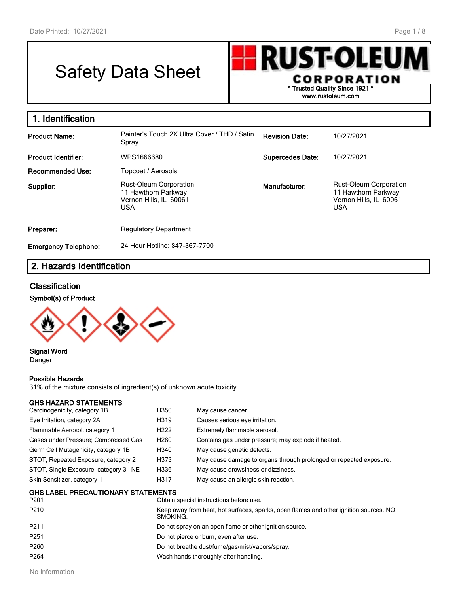# Safety Data Sheet



| 1. Identification           |                                                                                              |                         |                                                                                              |
|-----------------------------|----------------------------------------------------------------------------------------------|-------------------------|----------------------------------------------------------------------------------------------|
| <b>Product Name:</b>        | Painter's Touch 2X Ultra Cover / THD / Satin<br>Spray                                        | <b>Revision Date:</b>   | 10/27/2021                                                                                   |
| <b>Product Identifier:</b>  | WPS1666680                                                                                   | <b>Supercedes Date:</b> | 10/27/2021                                                                                   |
| <b>Recommended Use:</b>     | Topcoat / Aerosols                                                                           |                         |                                                                                              |
| Supplier:                   | <b>Rust-Oleum Corporation</b><br>11 Hawthorn Parkway<br>Vernon Hills, IL 60061<br><b>USA</b> | Manufacturer:           | <b>Rust-Oleum Corporation</b><br>11 Hawthorn Parkway<br>Vernon Hills, IL 60061<br><b>USA</b> |
| Preparer:                   | <b>Regulatory Department</b>                                                                 |                         |                                                                                              |
| <b>Emergency Telephone:</b> | 24 Hour Hotline: 847-367-7700                                                                |                         |                                                                                              |

## **2. Hazards Identification**

## **Classification**

### **Symbol(s) of Product**



#### **Signal Word** Danger

#### **Possible Hazards**

31% of the mixture consists of ingredient(s) of unknown acute toxicity.

| <b>GHS HAZARD STATEMENTS</b>              |                                                                                                   |                                                                    |  |
|-------------------------------------------|---------------------------------------------------------------------------------------------------|--------------------------------------------------------------------|--|
| Carcinogenicity, category 1B              | H350                                                                                              | May cause cancer.                                                  |  |
| Eye Irritation, category 2A               | H319                                                                                              | Causes serious eye irritation.                                     |  |
| Flammable Aerosol, category 1             | H <sub>222</sub>                                                                                  | Extremely flammable aerosol.                                       |  |
| Gases under Pressure; Compressed Gas      | H <sub>280</sub>                                                                                  | Contains gas under pressure; may explode if heated.                |  |
| Germ Cell Mutagenicity, category 1B       | H340                                                                                              | May cause genetic defects.                                         |  |
| STOT, Repeated Exposure, category 2       | H373                                                                                              | May cause damage to organs through prolonged or repeated exposure. |  |
| STOT, Single Exposure, category 3, NE     | H336                                                                                              | May cause drowsiness or dizziness.                                 |  |
| Skin Sensitizer, category 1               | H317                                                                                              | May cause an allergic skin reaction.                               |  |
| <b>GHS LABEL PRECAUTIONARY STATEMENTS</b> |                                                                                                   |                                                                    |  |
| P <sub>201</sub>                          |                                                                                                   | Obtain special instructions before use.                            |  |
| P210                                      | Keep away from heat, hot surfaces, sparks, open flames and other ignition sources. NO<br>SMOKING. |                                                                    |  |
| P <sub>211</sub>                          |                                                                                                   | Do not spray on an open flame or other ignition source.            |  |
| P <sub>251</sub>                          |                                                                                                   | Do not pierce or burn, even after use.                             |  |
| P260                                      |                                                                                                   | Do not breathe dust/fume/gas/mist/vapors/spray.                    |  |
| P <sub>264</sub>                          |                                                                                                   | Wash hands thoroughly after handling.                              |  |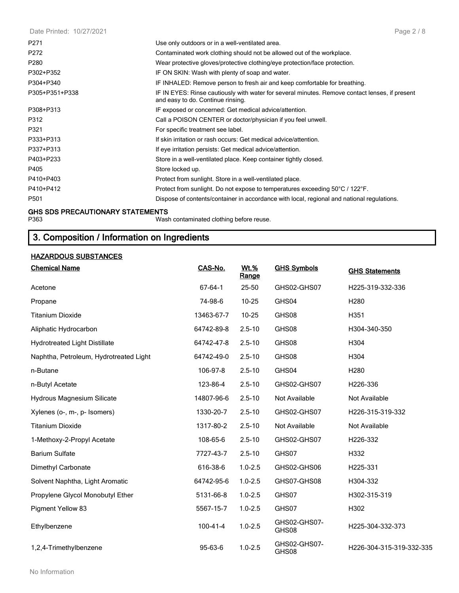| Page 2/8                                                                                                                            |
|-------------------------------------------------------------------------------------------------------------------------------------|
| Use only outdoors or in a well-ventilated area.                                                                                     |
| Contaminated work clothing should not be allowed out of the workplace.                                                              |
| Wear protective gloves/protective clothing/eye protection/face protection.                                                          |
| IF ON SKIN: Wash with plenty of soap and water.                                                                                     |
| IF INHALED: Remove person to fresh air and keep comfortable for breathing.                                                          |
| IF IN EYES: Rinse cautiously with water for several minutes. Remove contact lenses, if present<br>and easy to do. Continue rinsing. |
| IF exposed or concerned: Get medical advice/attention.                                                                              |
| Call a POISON CENTER or doctor/physician if you feel unwell.                                                                        |
| For specific treatment see label.                                                                                                   |
| If skin irritation or rash occurs: Get medical advice/attention.                                                                    |
| If eye irritation persists: Get medical advice/attention.                                                                           |
| Store in a well-ventilated place. Keep container tightly closed.                                                                    |
| Store locked up.                                                                                                                    |
| Protect from sunlight. Store in a well-ventilated place.                                                                            |
| Protect from sunlight. Do not expose to temperatures exceeding 50°C / 122°F.                                                        |
| Dispose of contents/container in accordance with local, regional and national regulations.                                          |
|                                                                                                                                     |

#### **GHS SDS PRECAUTIONARY STATEMENTS**

P363 Wash contaminated clothing before reuse.

## **3. Composition / Information on Ingredients**

## **HAZARDOUS SUBSTANCES**

| <b>Chemical Name</b>                   | CAS-No.        | <b>Wt.%</b><br>Range | <b>GHS Symbols</b>    | <b>GHS Statements</b>    |
|----------------------------------------|----------------|----------------------|-----------------------|--------------------------|
| Acetone                                | 67-64-1        | 25-50                | GHS02-GHS07           | H225-319-332-336         |
| Propane                                | 74-98-6        | 10-25                | GHS04                 | H <sub>280</sub>         |
| <b>Titanium Dioxide</b>                | 13463-67-7     | 10-25                | GHS08                 | H351                     |
| Aliphatic Hydrocarbon                  | 64742-89-8     | $2.5 - 10$           | GHS08                 | H304-340-350             |
| <b>Hydrotreated Light Distillate</b>   | 64742-47-8     | $2.5 - 10$           | GHS08                 | H304                     |
| Naphtha, Petroleum, Hydrotreated Light | 64742-49-0     | $2.5 - 10$           | GHS08                 | H304                     |
| n-Butane                               | 106-97-8       | $2.5 - 10$           | GHS04                 | H <sub>280</sub>         |
| n-Butyl Acetate                        | 123-86-4       | $2.5 - 10$           | GHS02-GHS07           | H226-336                 |
| <b>Hydrous Magnesium Silicate</b>      | 14807-96-6     | $2.5 - 10$           | Not Available         | Not Available            |
| Xylenes (o-, m-, p- Isomers)           | 1330-20-7      | $2.5 - 10$           | GHS02-GHS07           | H226-315-319-332         |
| <b>Titanium Dioxide</b>                | 1317-80-2      | $2.5 - 10$           | Not Available         | Not Available            |
| 1-Methoxy-2-Propyl Acetate             | 108-65-6       | $2.5 - 10$           | GHS02-GHS07           | H226-332                 |
| <b>Barium Sulfate</b>                  | 7727-43-7      | $2.5 - 10$           | GHS07                 | H332                     |
| Dimethyl Carbonate                     | 616-38-6       | $1.0 - 2.5$          | GHS02-GHS06           | H225-331                 |
| Solvent Naphtha, Light Aromatic        | 64742-95-6     | $1.0 - 2.5$          | GHS07-GHS08           | H304-332                 |
| Propylene Glycol Monobutyl Ether       | 5131-66-8      | $1.0 - 2.5$          | GHS07                 | H302-315-319             |
| Pigment Yellow 83                      | 5567-15-7      | $1.0 - 2.5$          | GHS07                 | H302                     |
| Ethylbenzene                           | $100 - 41 - 4$ | $1.0 - 2.5$          | GHS02-GHS07-<br>GHS08 | H225-304-332-373         |
| 1,2,4-Trimethylbenzene                 | 95-63-6        | $1.0 - 2.5$          | GHS02-GHS07-<br>GHS08 | H226-304-315-319-332-335 |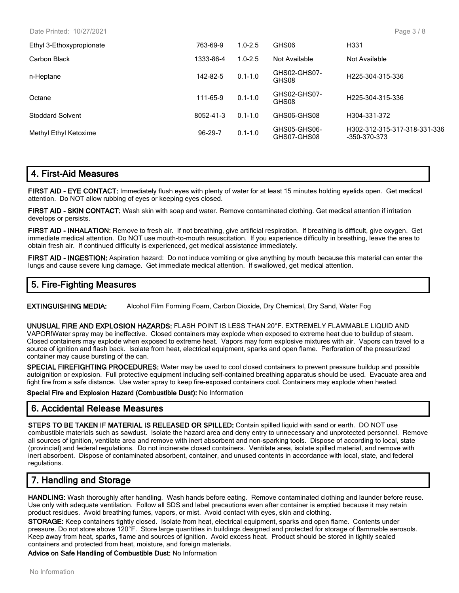Date Printed: 10/27/2021

| Ethyl 3-Ethoxypropionate | 763-69-9  | $1.0 - 2.5$ | GHS06                       | H <sub>331</sub>                             |
|--------------------------|-----------|-------------|-----------------------------|----------------------------------------------|
| Carbon Black             | 1333-86-4 | $1.0 - 2.5$ | Not Available               | Not Available                                |
| n-Heptane                | 142-82-5  | $0.1 - 1.0$ | GHS02-GHS07-<br>GHS08       | H225-304-315-336                             |
| Octane                   | 111-65-9  | $0.1 - 1.0$ | GHS02-GHS07-<br>GHS08       | H <sub>225</sub> -304-315-336                |
| <b>Stoddard Solvent</b>  | 8052-41-3 | $0.1 - 1.0$ | GHS06-GHS08                 | H304-331-372                                 |
| Methyl Ethyl Ketoxime    | 96-29-7   | $0.1 - 1.0$ | GHS05-GHS06-<br>GHS07-GHS08 | H302-312-315-317-318-331-336<br>-350-370-373 |

## **4. First-Aid Measures**

**FIRST AID - EYE CONTACT:** Immediately flush eyes with plenty of water for at least 15 minutes holding eyelids open. Get medical attention. Do NOT allow rubbing of eyes or keeping eyes closed.

**FIRST AID - SKIN CONTACT:** Wash skin with soap and water. Remove contaminated clothing. Get medical attention if irritation develops or persists.

**FIRST AID - INHALATION:** Remove to fresh air. If not breathing, give artificial respiration. If breathing is difficult, give oxygen. Get immediate medical attention. Do NOT use mouth-to-mouth resuscitation. If you experience difficulty in breathing, leave the area to obtain fresh air. If continued difficulty is experienced, get medical assistance immediately.

**FIRST AID - INGESTION:** Aspiration hazard: Do not induce vomiting or give anything by mouth because this material can enter the lungs and cause severe lung damage. Get immediate medical attention. If swallowed, get medical attention.

## **5. Fire-Fighting Measures**

**EXTINGUISHING MEDIA:** Alcohol Film Forming Foam, Carbon Dioxide, Dry Chemical, Dry Sand, Water Fog

**UNUSUAL FIRE AND EXPLOSION HAZARDS:** FLASH POINT IS LESS THAN 20°F. EXTREMELY FLAMMABLE LIQUID AND VAPOR!Water spray may be ineffective. Closed containers may explode when exposed to extreme heat due to buildup of steam. Closed containers may explode when exposed to extreme heat. Vapors may form explosive mixtures with air. Vapors can travel to a source of ignition and flash back. Isolate from heat, electrical equipment, sparks and open flame. Perforation of the pressurized container may cause bursting of the can.

**SPECIAL FIREFIGHTING PROCEDURES:** Water may be used to cool closed containers to prevent pressure buildup and possible autoignition or explosion. Full protective equipment including self-contained breathing apparatus should be used. Evacuate area and fight fire from a safe distance. Use water spray to keep fire-exposed containers cool. Containers may explode when heated.

#### **Special Fire and Explosion Hazard (Combustible Dust):** No Information

## **6. Accidental Release Measures**

**STEPS TO BE TAKEN IF MATERIAL IS RELEASED OR SPILLED:** Contain spilled liquid with sand or earth. DO NOT use combustible materials such as sawdust. Isolate the hazard area and deny entry to unnecessary and unprotected personnel. Remove all sources of ignition, ventilate area and remove with inert absorbent and non-sparking tools. Dispose of according to local, state (provincial) and federal regulations. Do not incinerate closed containers. Ventilate area, isolate spilled material, and remove with inert absorbent. Dispose of contaminated absorbent, container, and unused contents in accordance with local, state, and federal regulations.

## **7. Handling and Storage**

**HANDLING:** Wash thoroughly after handling. Wash hands before eating. Remove contaminated clothing and launder before reuse. Use only with adequate ventilation. Follow all SDS and label precautions even after container is emptied because it may retain product residues. Avoid breathing fumes, vapors, or mist. Avoid contact with eyes, skin and clothing.

**STORAGE:** Keep containers tightly closed. Isolate from heat, electrical equipment, sparks and open flame. Contents under pressure. Do not store above 120°F. Store large quantities in buildings designed and protected for storage of flammable aerosols. Keep away from heat, sparks, flame and sources of ignition. Avoid excess heat. Product should be stored in tightly sealed containers and protected from heat, moisture, and foreign materials.

**Advice on Safe Handling of Combustible Dust:** No Information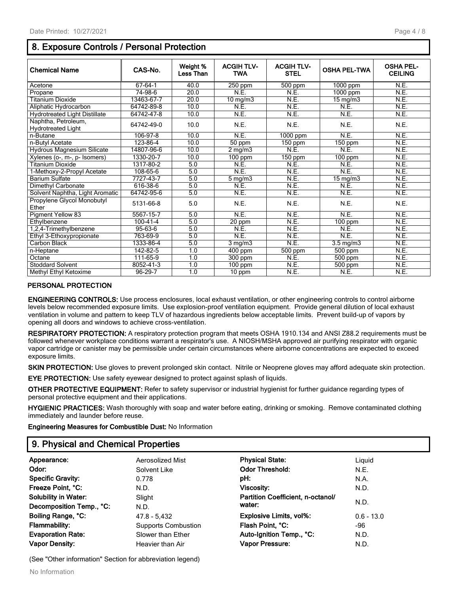## **8. Exposure Controls / Personal Protection**

| <b>Chemical Name</b>                             | CAS-No.        | Weight %<br>Less Than | <b>ACGIHTLV-</b><br><b>TWA</b> | <b>ACGIHTLV-</b><br><b>STEL</b> | <b>OSHA PEL-TWA</b>   | <b>OSHA PEL-</b><br><b>CEILING</b> |
|--------------------------------------------------|----------------|-----------------------|--------------------------------|---------------------------------|-----------------------|------------------------------------|
| Acetone                                          | 67-64-1        | 40.0                  | 250 ppm                        | $500$ ppm                       | $\overline{1000}$ ppm | N.E.                               |
| Propane                                          | 74-98-6        | 20.0                  | N.E.                           | N.E.                            | 1000 ppm              | N.E.                               |
| <b>Titanium Dioxide</b>                          | 13463-67-7     | 20.0                  | $10 \text{ mg/m}$              | N.E.                            | 15 mg/m3              | N.E.                               |
| Aliphatic Hydrocarbon                            | 64742-89-8     | 10.0                  | N.E.                           | N.E.                            | N.E.                  | N.E.                               |
| <b>Hydrotreated Light Distillate</b>             | 64742-47-8     | 10.0                  | N.E.                           | N.E.                            | N.E.                  | N.E.                               |
| Naphtha, Petroleum,<br><b>Hydrotreated Light</b> | 64742-49-0     | 10.0                  | N.E.                           | N.E.                            | N.E.                  | N.E.                               |
| n-Butane                                         | 106-97-8       | 10.0                  | N.E.                           | 1000 ppm                        | N.E.                  | N.E.                               |
| n-Butvl Acetate                                  | 123-86-4       | 10.0                  | 50 ppm                         | $150$ ppm                       | $150$ ppm             | N.E.                               |
| <b>Hydrous Magnesium Silicate</b>                | 14807-96-6     | 10.0                  | $2$ mg/m $3$                   | N.E.                            | N.E.                  | N.E.                               |
| Xylenes (o-, m-, p- Isomers)                     | 1330-20-7      | 10.0                  | $100$ ppm                      | $150$ ppm                       | $100$ ppm             | N.E.                               |
| Titanium Dioxide                                 | 1317-80-2      | 5.0                   | N.E.                           | N.E.                            | N.E.                  | N.E.                               |
| 1-Methoxy-2-Propyl Acetate                       | 108-65-6       | 5.0                   | N.E.                           | N.E.                            | N.E.                  | N.E.                               |
| <b>Barium Sulfate</b>                            | 7727-43-7      | 5.0                   | $5 \text{ mg/m}$               | N.E.                            | $15$ mg/m $3$         | N.E.                               |
| Dimethyl Carbonate                               | 616-38-6       | 5.0                   | N.E.                           | N.E.                            | N.E.                  | N.E.                               |
| Solvent Naphtha, Light Aromatic                  | 64742-95-6     | 5.0                   | N.E.                           | N.E.                            | N.E.                  | N.E.                               |
| Propylene Glycol Monobutyl<br>Ether              | 5131-66-8      | 5.0                   | N.E.                           | N.E.                            | N.E.                  | N.E.                               |
| Pigment Yellow 83                                | 5567-15-7      | 5.0                   | N.E.                           | N.E.                            | N.E.                  | N.E.                               |
| Ethylbenzene                                     | $100 - 41 - 4$ | 5.0                   | 20 ppm                         | N.E.                            | $100$ ppm             | N.E.                               |
| 1,2,4-Trimethylbenzene                           | 95-63-6        | 5.0                   | N.E.                           | N.E.                            | N.E.                  | N.E.                               |
| Ethyl 3-Ethoxypropionate                         | 763-69-9       | 5.0                   | N.E.                           | N.E.                            | N.E.                  | N.E.                               |
| Carbon Black                                     | 1333-86-4      | 5.0                   | $3$ mg/m $3$                   | N.E.                            | $3.5$ mg/m $3$        | N.E.                               |
| n-Heptane                                        | 142-82-5       | 1.0                   | $400$ ppm                      | 500 ppm                         | $500$ ppm             | N.E.                               |
| Octane                                           | 111-65-9       | 1.0                   | 300 ppm                        | N.E.                            | 500 ppm               | N.E.                               |
| <b>Stoddard Solvent</b>                          | 8052-41-3      | 1.0                   | $100$ ppm                      | N.E.                            | 500 ppm               | N.E.                               |
| Methyl Ethyl Ketoxime                            | 96-29-7        | 1.0                   | 10 ppm                         | N.E.                            | N.E.                  | N.E.                               |

#### **PERSONAL PROTECTION**

**ENGINEERING CONTROLS:** Use process enclosures, local exhaust ventilation, or other engineering controls to control airborne levels below recommended exposure limits. Use explosion-proof ventilation equipment. Provide general dilution of local exhaust ventilation in volume and pattern to keep TLV of hazardous ingredients below acceptable limits. Prevent build-up of vapors by opening all doors and windows to achieve cross-ventilation.

**RESPIRATORY PROTECTION:** A respiratory protection program that meets OSHA 1910.134 and ANSI Z88.2 requirements must be followed whenever workplace conditions warrant a respirator's use. A NIOSH/MSHA approved air purifying respirator with organic vapor cartridge or canister may be permissible under certain circumstances where airborne concentrations are expected to exceed exposure limits.

**SKIN PROTECTION:** Use gloves to prevent prolonged skin contact. Nitrile or Neoprene gloves may afford adequate skin protection.

**EYE PROTECTION:** Use safety eyewear designed to protect against splash of liquids.

**OTHER PROTECTIVE EQUIPMENT:** Refer to safety supervisor or industrial hygienist for further guidance regarding types of personal protective equipment and their applications.

**HYGIENIC PRACTICES:** Wash thoroughly with soap and water before eating, drinking or smoking. Remove contaminated clothing immediately and launder before reuse.

**Engineering Measures for Combustible Dust:** No Information

## **9. Physical and Chemical Properties**

| Appearance:                 | Aerosolized Mist           | <b>Physical State:</b>            | Liguid       |  |
|-----------------------------|----------------------------|-----------------------------------|--------------|--|
| Odor:                       | Solvent Like               | <b>Odor Threshold:</b>            | N.E.         |  |
| <b>Specific Gravity:</b>    | 0.778                      | pH:                               | N.A.         |  |
| Freeze Point, °C:           | N.D.                       | Viscosity:                        | N.D.         |  |
| <b>Solubility in Water:</b> | Slight                     | Partition Coefficient, n-octanol/ |              |  |
| Decomposition Temp., °C:    | N.D.                       | water:                            | N.D.         |  |
| Boiling Range, °C:          | 47.8 - 5,432               | <b>Explosive Limits, vol%:</b>    | $0.6 - 13.0$ |  |
| <b>Flammability:</b>        | <b>Supports Combustion</b> | Flash Point, °C:                  | -96          |  |
| <b>Evaporation Rate:</b>    | Slower than Ether          | Auto-Ignition Temp., °C:          | N.D.         |  |
| <b>Vapor Density:</b>       | Heavier than Air           | Vapor Pressure:                   | N.D.         |  |
|                             |                            |                                   |              |  |

(See "Other information" Section for abbreviation legend)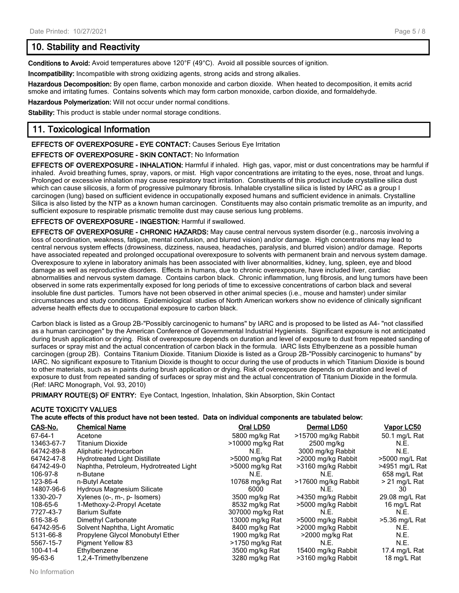## **10. Stability and Reactivity**

**Conditions to Avoid:** Avoid temperatures above 120°F (49°C). Avoid all possible sources of ignition.

**Incompatibility:** Incompatible with strong oxidizing agents, strong acids and strong alkalies.

**Hazardous Decomposition:** By open flame, carbon monoxide and carbon dioxide. When heated to decomposition, it emits acrid smoke and irritating fumes. Contains solvents which may form carbon monoxide, carbon dioxide, and formaldehyde.

**Hazardous Polymerization:** Will not occur under normal conditions.

**Stability:** This product is stable under normal storage conditions.

## **11. Toxicological Information**

#### **EFFECTS OF OVEREXPOSURE - EYE CONTACT:** Causes Serious Eye Irritation

#### **EFFECTS OF OVEREXPOSURE - SKIN CONTACT:** No Information

**EFFECTS OF OVEREXPOSURE - INHALATION:** Harmful if inhaled. High gas, vapor, mist or dust concentrations may be harmful if inhaled. Avoid breathing fumes, spray, vapors, or mist. High vapor concentrations are irritating to the eyes, nose, throat and lungs. Prolonged or excessive inhalation may cause respiratory tract irritation. Constituents of this product include crystalline silica dust which can cause silicosis, a form of progressive pulmonary fibrosis. Inhalable crystalline silica is listed by IARC as a group I carcinogen (lung) based on sufficient evidence in occupationally exposed humans and sufficient evidence in animals. Crystalline Silica is also listed by the NTP as a known human carcinogen. Constituents may also contain prismatic tremolite as an impurity, and sufficient exposure to respirable prismatic tremolite dust may cause serious lung problems.

#### **EFFECTS OF OVEREXPOSURE - INGESTION:** Harmful if swallowed.

**EFFECTS OF OVEREXPOSURE - CHRONIC HAZARDS:** May cause central nervous system disorder (e.g., narcosis involving a loss of coordination, weakness, fatigue, mental confusion, and blurred vision) and/or damage. High concentrations may lead to central nervous system effects (drowsiness, dizziness, nausea, headaches, paralysis, and blurred vision) and/or damage. Reports have associated repeated and prolonged occupational overexposure to solvents with permanent brain and nervous system damage. Overexposure to xylene in laboratory animals has been associated with liver abnormalities, kidney, lung, spleen, eye and blood damage as well as reproductive disorders. Effects in humans, due to chronic overexposure, have included liver, cardiac abnormalities and nervous system damage. Contains carbon black. Chronic inflammation, lung fibrosis, and lung tumors have been observed in some rats experimentally exposed for long periods of time to excessive concentrations of carbon black and several insoluble fine dust particles. Tumors have not been observed in other animal species (i.e., mouse and hamster) under similar circumstances and study conditions. Epidemiological studies of North American workers show no evidence of clinically significant adverse health effects due to occupational exposure to carbon black.

Carbon black is listed as a Group 2B-"Possibly carcinogenic to humans" by IARC and is proposed to be listed as A4- "not classified as a human carcinogen" by the American Conference of Governmental Industrial Hygienists. Significant exposure is not anticipated during brush application or drying. Risk of overexposure depends on duration and level of exposure to dust from repeated sanding of surfaces or spray mist and the actual concentration of carbon black in the formula. IARC lists Ethylbenzene as a possible human carcinogen (group 2B). Contains Titanium Dioxide. Titanium Dioxide is listed as a Group 2B-"Possibly carcinogenic to humans" by IARC. No significant exposure to Titanium Dioxide is thought to occur during the use of products in which Titanium Dioxide is bound to other materials, such as in paints during brush application or drying. Risk of overexposure depends on duration and level of exposure to dust from repeated sanding of surfaces or spray mist and the actual concentration of Titanium Dioxide in the formula. (Ref: IARC Monograph, Vol. 93, 2010)

**PRIMARY ROUTE(S) OF ENTRY:** Eye Contact, Ingestion, Inhalation, Skin Absorption, Skin Contact

## **ACUTE TOXICITY VALUES The acute effects of this product have not been tested. Data on individual components are tabulated below:**

| CAS-No.       | <b>Chemical Name</b>                   | Oral LD50        | Dermal LD50         | <u>Vapor LC50</u> |
|---------------|----------------------------------------|------------------|---------------------|-------------------|
| 67-64-1       | Acetone                                | 5800 mg/kg Rat   | >15700 mg/kg Rabbit | 50.1 mg/L Rat     |
| 13463-67-7    | <b>Titanium Dioxide</b>                | >10000 mg/kg Rat | 2500 mg/kg          | N.E.              |
| 64742-89-8    | Aliphatic Hydrocarbon                  | N.E.             | 3000 mg/kg Rabbit   | N.E.              |
| 64742-47-8    | <b>Hydrotreated Light Distillate</b>   | >5000 mg/kg Rat  | >2000 mg/kg Rabbit  | >5000 mg/L Rat    |
| 64742-49-0    | Naphtha, Petroleum, Hydrotreated Light | >5000 mg/kg Rat  | >3160 mg/kg Rabbit  | >4951 mg/L Rat    |
| 106-97-8      | n-Butane                               | N.E.             | N.E.                | 658 mg/L Rat      |
| 123-86-4      | n-Butyl Acetate                        | 10768 mg/kg Rat  | >17600 mg/kg Rabbit | > 21 mg/L Rat     |
| 14807-96-6    | Hydrous Magnesium Silicate             | 6000             | N.E.                | 30                |
| 1330-20-7     | Xylenes (o-, m-, p- Isomers)           | 3500 mg/kg Rat   | >4350 mg/kg Rabbit  | 29.08 mg/L Rat    |
| 108-65-6      | 1-Methoxy-2-Propyl Acetate             | 8532 mg/kg Rat   | >5000 mg/kg Rabbit  | 16 mg/L Rat       |
| 7727-43-7     | <b>Barium Sulfate</b>                  | 307000 mg/kg Rat | N.E.                | N.E.              |
| 616-38-6      | Dimethyl Carbonate                     | 13000 mg/kg Rat  | >5000 mg/kg Rabbit  | >5.36 mg/L Rat    |
| 64742-95-6    | Solvent Naphtha, Light Aromatic        | 8400 mg/kg Rat   | >2000 mg/kg Rabbit  | N.E.              |
| 5131-66-8     | Propylene Glycol Monobutyl Ether       | 1900 mg/kg Rat   | >2000 mg/kg Rat     | N.E.              |
| 5567-15-7     | <b>Pigment Yellow 83</b>               | >1750 mg/kg Rat  | N.E.                | N.E.              |
| 100-41-4      | Ethylbenzene                           | 3500 mg/kg Rat   | 15400 mg/kg Rabbit  | 17.4 mg/L Rat     |
| $95 - 63 - 6$ | 1,2,4-Trimethylbenzene                 | 3280 mg/kg Rat   | >3160 mg/kg Rabbit  | 18 mg/L Rat       |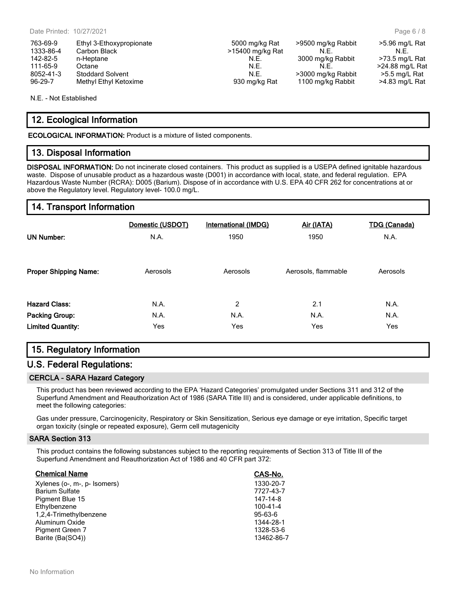| 763-69-9  | Ethyl 3-Ethoxypropionate |  |
|-----------|--------------------------|--|
| 1333-86-4 | Carbon Black             |  |
| 142-82-5  | n-Heptane                |  |
| 111-65-9  | Octane                   |  |
| 8052-41-3 | <b>Stoddard Solvent</b>  |  |
| $96-29-7$ | Methyl Fthyl Ketoxime    |  |

#### 5000 mg/kg Rat >9500 mg/kg Rabbit >5.96 mg/L Rat  $15400$  mg/kg Rat N.E. N.E. N.E. 142. N.E. 3000 mg/kg Rabbit  $\ge$  73.5 mg/L Rat N.E. 11.5. N.E. 24.88 mg/L Rat<br>11.5.5 mg/L Rat >3000 mg/kg Rabbit >5.5 mg/L Rat >3000 mg/kg Rabbit >5.5 mg/L Rat 930 mg/kg Rat 1100 mg/kg Rabbit >4.83 mg/L Rat

Page 6 / 8

N.E. - Not Established

## **12. Ecological Information**

**ECOLOGICAL INFORMATION:** Product is a mixture of listed components.

## **13. Disposal Information**

**DISPOSAL INFORMATION:** Do not incinerate closed containers. This product as supplied is a USEPA defined ignitable hazardous waste. Dispose of unusable product as a hazardous waste (D001) in accordance with local, state, and federal regulation. EPA Hazardous Waste Number (RCRA): D005 (Barium). Dispose of in accordance with U.S. EPA 40 CFR 262 for concentrations at or above the Regulatory level. Regulatory level- 100.0 mg/L.

## **14. Transport Information**

| <b>UN Number:</b>            | Domestic (USDOT) | International (IMDG) | Air (IATA)          | <b>TDG (Canada)</b> |
|------------------------------|------------------|----------------------|---------------------|---------------------|
|                              | N.A.             | 1950                 | 1950                | N.A.                |
| <b>Proper Shipping Name:</b> | Aerosols         | Aerosols             | Aerosols, flammable | Aerosols            |
| <b>Hazard Class:</b>         | N.A.             | 2                    | 2.1                 | N.A.                |
| <b>Packing Group:</b>        | N.A.             | N.A.                 | N.A.                | N.A.                |
| <b>Limited Quantity:</b>     | Yes              | Yes                  | Yes                 | Yes                 |

## **15. Regulatory Information**

## **U.S. Federal Regulations:**

#### **CERCLA - SARA Hazard Category**

This product has been reviewed according to the EPA 'Hazard Categories' promulgated under Sections 311 and 312 of the Superfund Amendment and Reauthorization Act of 1986 (SARA Title III) and is considered, under applicable definitions, to meet the following categories:

Gas under pressure, Carcinogenicity, Respiratory or Skin Sensitization, Serious eye damage or eye irritation, Specific target organ toxicity (single or repeated exposure), Germ cell mutagenicity

#### **SARA Section 313**

This product contains the following substances subject to the reporting requirements of Section 313 of Title III of the Superfund Amendment and Reauthorization Act of 1986 and 40 CFR part 372:

| <b>Chemical Name</b>         | CAS-No.       |
|------------------------------|---------------|
| Xylenes (o-, m-, p- Isomers) | 1330-20-7     |
| <b>Barium Sulfate</b>        | 7727-43-7     |
| Pigment Blue 15              | 147-14-8      |
| Ethylbenzene                 | 100-41-4      |
| 1,2,4-Trimethylbenzene       | $95 - 63 - 6$ |
| Aluminum Oxide               | 1344-28-1     |
| Pigment Green 7              | 1328-53-6     |
| Barite (Ba(SO4))             | 13462-86-7    |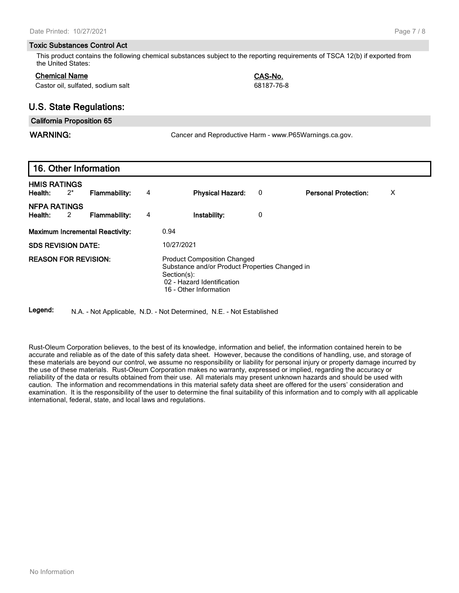#### **Toxic Substances Control Act**

This product contains the following chemical substances subject to the reporting requirements of TSCA 12(b) if exported from the United States:

#### **Chemical Name CAS-No.**

Castor oil, sulfated, sodium salt 68187-76-8

## **U.S. State Regulations:**

#### **California Proposition 65**

WARNING: **WARNING:** Cancer and Reproductive Harm - www.P65Warnings.ca.gov.

## **16. Other Information**

| <b>HMIS RATINGS</b><br>Health:          | $2^*$ | Flammability:                          | 4 | <b>Physical Hazard:</b>                                                                                                                                     | 0 | х<br><b>Personal Protection:</b> |  |
|-----------------------------------------|-------|----------------------------------------|---|-------------------------------------------------------------------------------------------------------------------------------------------------------------|---|----------------------------------|--|
| <b>NFPA RATINGS</b><br>Health:          | 2     | <b>Flammability:</b>                   | 4 | Instability:                                                                                                                                                | 0 |                                  |  |
|                                         |       | <b>Maximum Incremental Reactivity:</b> |   | 0.94                                                                                                                                                        |   |                                  |  |
| 10/27/2021<br><b>SDS REVISION DATE:</b> |       |                                        |   |                                                                                                                                                             |   |                                  |  |
| <b>REASON FOR REVISION:</b>             |       |                                        |   | <b>Product Composition Changed</b><br>Substance and/or Product Properties Changed in<br>Section(s):<br>02 - Hazard Identification<br>16 - Other Information |   |                                  |  |

**Legend:** N.A. - Not Applicable, N.D. - Not Determined, N.E. - Not Established

Rust-Oleum Corporation believes, to the best of its knowledge, information and belief, the information contained herein to be accurate and reliable as of the date of this safety data sheet. However, because the conditions of handling, use, and storage of these materials are beyond our control, we assume no responsibility or liability for personal injury or property damage incurred by the use of these materials. Rust-Oleum Corporation makes no warranty, expressed or implied, regarding the accuracy or reliability of the data or results obtained from their use. All materials may present unknown hazards and should be used with caution. The information and recommendations in this material safety data sheet are offered for the users' consideration and examination. It is the responsibility of the user to determine the final suitability of this information and to comply with all applicable international, federal, state, and local laws and regulations.